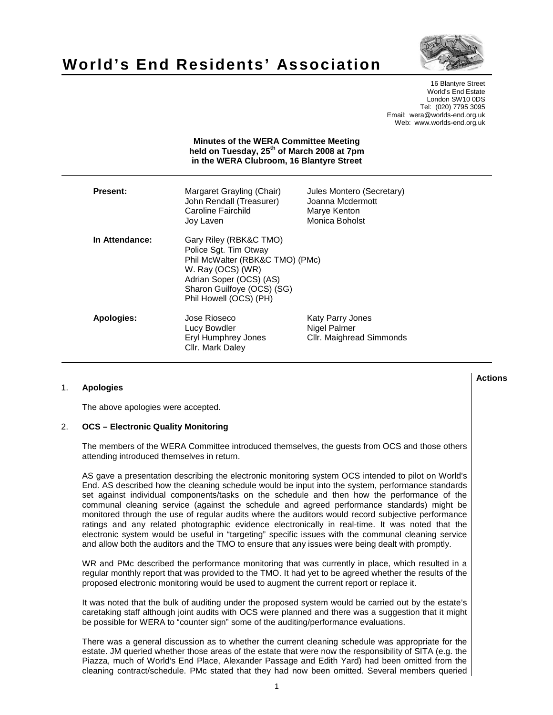# **World's End Residents' Association**

16 Blantyre Street World's End Estate London SW10 0DS Tel: (020) 7795 3095 Email: wera@worlds-end.org.uk Web: www.worlds-end.org.uk

|                 | held on Tuesday, 25 <sup>th</sup> of March 2008 at 7pm<br>in the WERA Clubroom, 16 Blantyre Street                                                                                         |                                                                                 |
|-----------------|--------------------------------------------------------------------------------------------------------------------------------------------------------------------------------------------|---------------------------------------------------------------------------------|
| <b>Present:</b> | Margaret Grayling (Chair)<br>John Rendall (Treasurer)<br>Caroline Fairchild<br>Joy Laven                                                                                                   | Jules Montero (Secretary)<br>Joanna Mcdermott<br>Marye Kenton<br>Monica Boholst |
| In Attendance:  | Gary Riley (RBK&C TMO)<br>Police Sgt. Tim Otway<br>Phil McWalter (RBK&C TMO) (PMc)<br>W. Ray (OCS) (WR)<br>Adrian Soper (OCS) (AS)<br>Sharon Guilfoye (OCS) (SG)<br>Phil Howell (OCS) (PH) |                                                                                 |
| Apologies:      | Jose Rioseco<br>Lucy Bowdler<br>Eryl Humphrey Jones<br>Cllr. Mark Daley                                                                                                                    | Katy Parry Jones<br>Nigel Palmer<br>Cllr. Maighread Simmonds                    |

**Minutes of the WERA Committee Meeting** 

### 1. **Apologies**

The above apologies were accepted.

## 2. **OCS – Electronic Quality Monitoring**

The members of the WERA Committee introduced themselves, the guests from OCS and those others attending introduced themselves in return.

AS gave a presentation describing the electronic monitoring system OCS intended to pilot on World's End. AS described how the cleaning schedule would be input into the system, performance standards set against individual components/tasks on the schedule and then how the performance of the communal cleaning service (against the schedule and agreed performance standards) might be monitored through the use of regular audits where the auditors would record subjective performance ratings and any related photographic evidence electronically in real-time. It was noted that the electronic system would be useful in "targeting" specific issues with the communal cleaning service and allow both the auditors and the TMO to ensure that any issues were being dealt with promptly.

WR and PMc described the performance monitoring that was currently in place, which resulted in a regular monthly report that was provided to the TMO. It had yet to be agreed whether the results of the proposed electronic monitoring would be used to augment the current report or replace it.

It was noted that the bulk of auditing under the proposed system would be carried out by the estate's caretaking staff although joint audits with OCS were planned and there was a suggestion that it might be possible for WERA to "counter sign" some of the auditing/performance evaluations.

There was a general discussion as to whether the current cleaning schedule was appropriate for the estate. JM queried whether those areas of the estate that were now the responsibility of SITA (e.g. the Piazza, much of World's End Place, Alexander Passage and Edith Yard) had been omitted from the cleaning contract/schedule. PMc stated that they had now been omitted. Several members queried

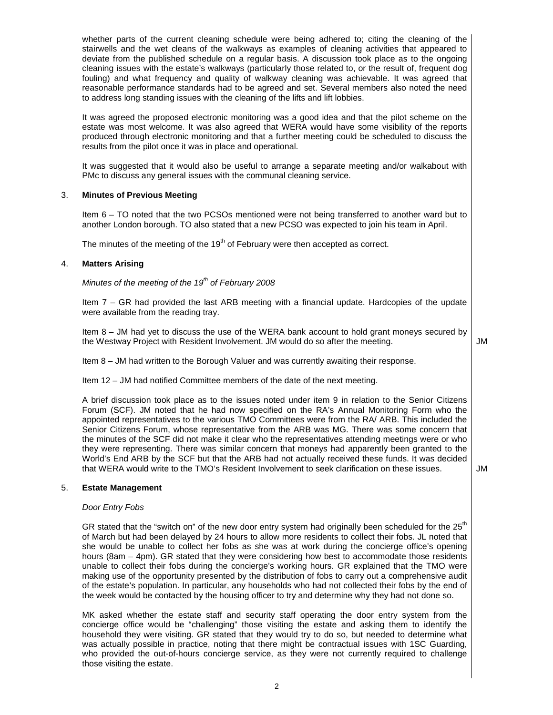whether parts of the current cleaning schedule were being adhered to; citing the cleaning of the stairwells and the wet cleans of the walkways as examples of cleaning activities that appeared to deviate from the published schedule on a regular basis. A discussion took place as to the ongoing cleaning issues with the estate's walkways (particularly those related to, or the result of, frequent dog fouling) and what frequency and quality of walkway cleaning was achievable. It was agreed that reasonable performance standards had to be agreed and set. Several members also noted the need to address long standing issues with the cleaning of the lifts and lift lobbies.

It was agreed the proposed electronic monitoring was a good idea and that the pilot scheme on the estate was most welcome. It was also agreed that WERA would have some visibility of the reports produced through electronic monitoring and that a further meeting could be scheduled to discuss the results from the pilot once it was in place and operational.

It was suggested that it would also be useful to arrange a separate meeting and/or walkabout with PMc to discuss any general issues with the communal cleaning service.

#### 3. **Minutes of Previous Meeting**

Item 6 – TO noted that the two PCSOs mentioned were not being transferred to another ward but to another London borough. TO also stated that a new PCSO was expected to join his team in April.

The minutes of the meeting of the  $19<sup>th</sup>$  of February were then accepted as correct.

#### 4. **Matters Arising**

Minutes of the meeting of the 19 $th$  of February 2008

Item 7 – GR had provided the last ARB meeting with a financial update. Hardcopies of the update were available from the reading tray.

Item 8 – JM had yet to discuss the use of the WERA bank account to hold grant moneys secured by the Westway Project with Resident Involvement. JM would do so after the meeting.

JM

Item 8 – JM had written to the Borough Valuer and was currently awaiting their response.

Item 12 – JM had notified Committee members of the date of the next meeting.

A brief discussion took place as to the issues noted under item 9 in relation to the Senior Citizens Forum (SCF). JM noted that he had now specified on the RA's Annual Monitoring Form who the appointed representatives to the various TMO Committees were from the RA/ ARB. This included the Senior Citizens Forum, whose representative from the ARB was MG. There was some concern that the minutes of the SCF did not make it clear who the representatives attending meetings were or who they were representing. There was similar concern that moneys had apparently been granted to the World's End ARB by the SCF but that the ARB had not actually received these funds. It was decided that WERA would write to the TMO's Resident Involvement to seek clarification on these issues.

#### JM

# 5. **Estate Management**

#### Door Entry Fobs

GR stated that the "switch on" of the new door entry system had originally been scheduled for the 25<sup>th</sup> of March but had been delayed by 24 hours to allow more residents to collect their fobs. JL noted that she would be unable to collect her fobs as she was at work during the concierge office's opening hours (8am – 4pm). GR stated that they were considering how best to accommodate those residents unable to collect their fobs during the concierge's working hours. GR explained that the TMO were making use of the opportunity presented by the distribution of fobs to carry out a comprehensive audit of the estate's population. In particular, any households who had not collected their fobs by the end of the week would be contacted by the housing officer to try and determine why they had not done so.

MK asked whether the estate staff and security staff operating the door entry system from the concierge office would be "challenging" those visiting the estate and asking them to identify the household they were visiting. GR stated that they would try to do so, but needed to determine what was actually possible in practice, noting that there might be contractual issues with 1SC Guarding, who provided the out-of-hours concierge service, as they were not currently required to challenge those visiting the estate.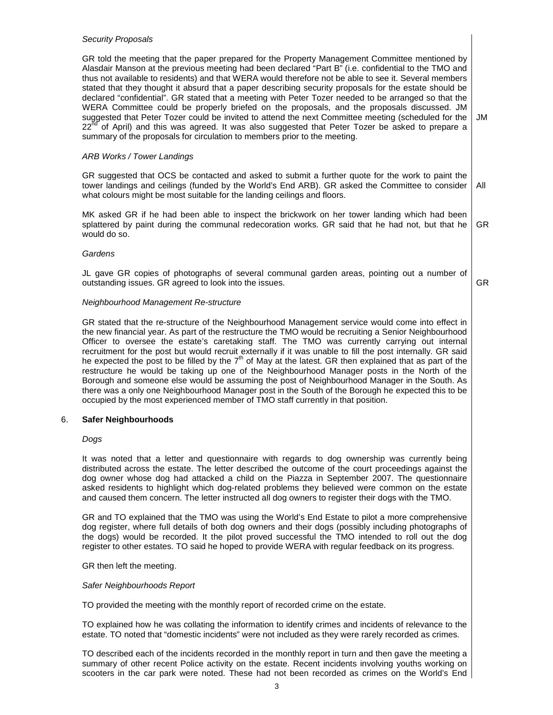#### Security Proposals

GR told the meeting that the paper prepared for the Property Management Committee mentioned by Alasdair Manson at the previous meeting had been declared "Part B" (i.e. confidential to the TMO and thus not available to residents) and that WERA would therefore not be able to see it. Several members stated that they thought it absurd that a paper describing security proposals for the estate should be declared "confidential". GR stated that a meeting with Peter Tozer needed to be arranged so that the WERA Committee could be properly briefed on the proposals, and the proposals discussed. JM suggested that Peter Tozer could be invited to attend the next Committee meeting (scheduled for the  $22<sup>nd</sup>$  of April) and this was agreed. It was also suggested that Peter Tozer be asked to prepare a summary of the proposals for circulation to members prior to the meeting. JM

#### ARB Works / Tower Landings

GR suggested that OCS be contacted and asked to submit a further quote for the work to paint the tower landings and ceilings (funded by the World's End ARB). GR asked the Committee to consider what colours might be most suitable for the landing ceilings and floors. All

MK asked GR if he had been able to inspect the brickwork on her tower landing which had been splattered by paint during the communal redecoration works. GR said that he had not, but that he would do so. GR

# **Gardens**

JL gave GR copies of photographs of several communal garden areas, pointing out a number of outstanding issues. GR agreed to look into the issues.

GR

#### Neighbourhood Management Re-structure

GR stated that the re-structure of the Neighbourhood Management service would come into effect in the new financial year. As part of the restructure the TMO would be recruiting a Senior Neighbourhood Officer to oversee the estate's caretaking staff. The TMO was currently carrying out internal recruitment for the post but would recruit externally if it was unable to fill the post internally. GR said he expected the post to be filled by the  $7<sup>th</sup>$  of May at the latest. GR then explained that as part of the restructure he would be taking up one of the Neighbourhood Manager posts in the North of the Borough and someone else would be assuming the post of Neighbourhood Manager in the South. As there was a only one Neighbourhood Manager post in the South of the Borough he expected this to be occupied by the most experienced member of TMO staff currently in that position.

#### 6. **Safer Neighbourhoods**

#### Dogs

It was noted that a letter and questionnaire with regards to dog ownership was currently being distributed across the estate. The letter described the outcome of the court proceedings against the dog owner whose dog had attacked a child on the Piazza in September 2007. The questionnaire asked residents to highlight which dog-related problems they believed were common on the estate and caused them concern. The letter instructed all dog owners to register their dogs with the TMO.

GR and TO explained that the TMO was using the World's End Estate to pilot a more comprehensive dog register, where full details of both dog owners and their dogs (possibly including photographs of the dogs) would be recorded. It the pilot proved successful the TMO intended to roll out the dog register to other estates. TO said he hoped to provide WERA with regular feedback on its progress.

#### GR then left the meeting.

#### Safer Neighbourhoods Report

TO provided the meeting with the monthly report of recorded crime on the estate.

TO explained how he was collating the information to identify crimes and incidents of relevance to the estate. TO noted that "domestic incidents" were not included as they were rarely recorded as crimes.

TO described each of the incidents recorded in the monthly report in turn and then gave the meeting a summary of other recent Police activity on the estate. Recent incidents involving youths working on scooters in the car park were noted. These had not been recorded as crimes on the World's End